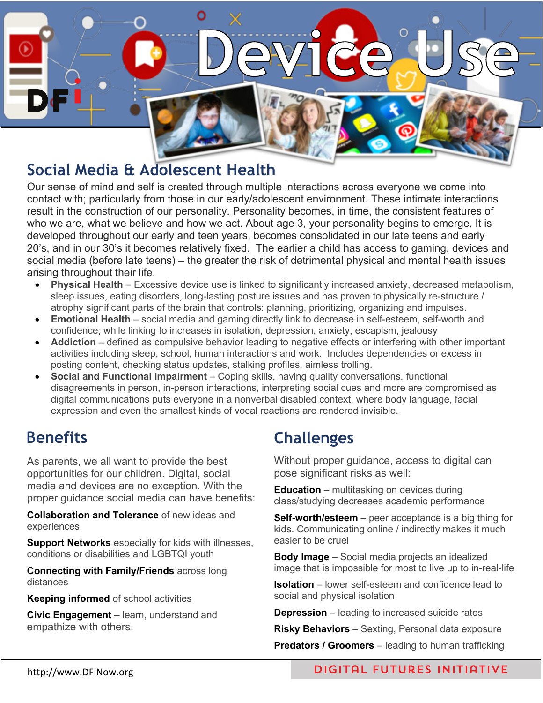

### **Social Media & Adolescent Health**

Our sense of mind and self is created through multiple interactions across everyone we come into contact with; particularly from those in our early/adolescent environment. These intimate interactions result in the construction of our personality. Personality becomes, in time, the consistent features of who we are, what we believe and how we act. About age 3, your personality begins to emerge. It is developed throughout our early and teen years, becomes consolidated in our late teens and early 20's, and in our 30's it becomes relatively fixed. The earlier a child has access to gaming, devices and social media (before late teens) – the greater the risk of detrimental physical and mental health issues arising throughout their life.

- **Physical Health** Excessive device use is linked to significantly increased anxiety, decreased metabolism, sleep issues, eating disorders, long-lasting posture issues and has proven to physically re-structure / atrophy significant parts of the brain that controls: planning, prioritizing, organizing and impulses.
- **Emotional Health** social media and gaming directly link to decrease in self-esteem, self-worth and confidence; while linking to increases in isolation, depression, anxiety, escapism, jealousy
- **Addiction** defined as compulsive behavior leading to negative effects or interfering with other important activities including sleep, school, human interactions and work. Includes dependencies or excess in posting content, checking status updates, stalking profiles, aimless trolling.
- **Social and Functional Impairment** Coping skills, having quality conversations, functional disagreements in person, in-person interactions, interpreting social cues and more are compromised as digital communications puts everyone in a nonverbal disabled context, where body language, facial expression and even the smallest kinds of vocal reactions are rendered invisible.

### **Benefits**

As parents, we all want to provide the best opportunities for our children. Digital, social media and devices are no exception. With the proper guidance social media can have benefits:

**Collaboration and Tolerance** of new ideas and experiences

**Support Networks** especially for kids with illnesses, conditions or disabilities and LGBTQI youth

**Connecting with Family/Friends** across long distances

**Keeping informed** of school activities

**Civic Engagement** – learn, understand and empathize with others.

## **Challenges**

Without proper guidance, access to digital can pose significant risks as well:

**Education** – multitasking on devices during class/studying decreases academic performance

**Self-worth/esteem** – peer acceptance is a big thing for kids. Communicating online / indirectly makes it much easier to be cruel

**Body Image** – Social media projects an idealized image that is impossible for most to live up to in-real-life

**Isolation** – lower self-esteem and confidence lead to social and physical isolation

**Depression** – leading to increased suicide rates

**Risky Behaviors** – Sexting, Personal data exposure

**Predators / Groomers** – leading to human trafficking